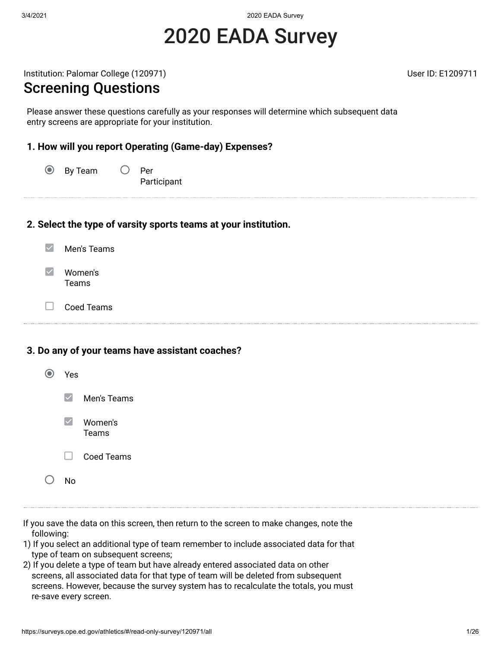3/4/2021 2020 EADA Survey

# 2020 EADA Survey

Institution: Palomar College (120971) and the collection of the User ID: E1209711

#### Screening Questions

Please answer these questions carefully as your responses will determine which subsequent data entry screens are appropriate for your institution.

#### **1. How will you report Operating (Game-day) Expenses?**

 $\odot$ By Team  $\bigcirc$  Per Participant

#### **2. Select the type of varsity sports teams at your institution.**

- $\blacktriangledown$ Men's Teams
- $\blacktriangledown$ Women's Teams
- $\Box$ Coed Teams

#### **3. Do any of your teams have assistant coaches?**

| Yes    |                         |
|--------|-------------------------|
|        | $\vee$ Men's Teams      |
|        | $\vee$ Women's<br>Teams |
| $\Box$ | Coed Teams              |
| N۵     |                         |

- If you save the data on this screen, then return to the screen to make changes, note the following:
- 1) If you select an additional type of team remember to include associated data for that type of team on subsequent screens;
- 2) If you delete a type of team but have already entered associated data on other screens, all associated data for that type of team will be deleted from subsequent screens. However, because the survey system has to recalculate the totals, you must re-save every screen.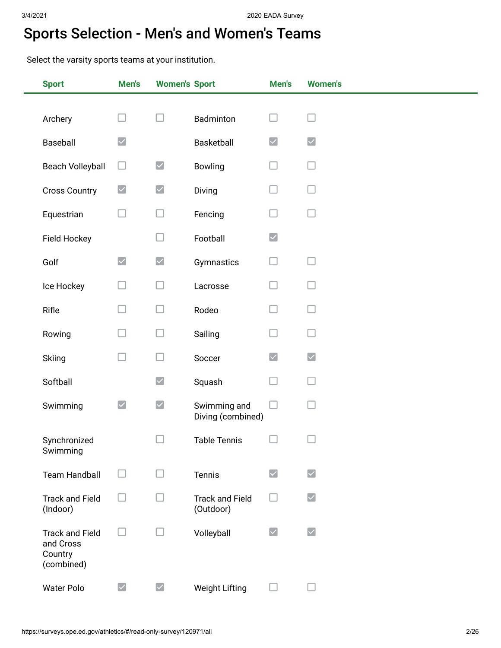## Sports Selection - Men's and Women's Teams

Select the varsity sports teams at your institution.

| <b>Sport</b>                                                 | Men's                | <b>Women's Sport</b>     |                                     | Men's                | <b>Women's</b>                              |
|--------------------------------------------------------------|----------------------|--------------------------|-------------------------------------|----------------------|---------------------------------------------|
|                                                              |                      |                          |                                     |                      |                                             |
| Archery                                                      | $\Box$               | $\Box$                   | Badminton                           |                      |                                             |
| Baseball                                                     | $\blacktriangledown$ |                          | Basketball                          | $\blacktriangledown$ | $\blacktriangledown$                        |
| <b>Beach Volleyball</b>                                      | ⊔                    | $\blacktriangledown$     | <b>Bowling</b>                      |                      |                                             |
| <b>Cross Country</b>                                         | $\blacktriangledown$ | $\blacktriangledown$     | Diving                              |                      |                                             |
| Equestrian                                                   | u                    | □                        | Fencing                             |                      |                                             |
| Field Hockey                                                 |                      | $\Box$                   | Football                            | $\blacktriangledown$ |                                             |
| Golf                                                         | $\blacktriangledown$ | $\blacktriangledown$     | Gymnastics                          |                      |                                             |
| Ice Hockey                                                   |                      | Ш                        | Lacrosse                            |                      |                                             |
| Rifle                                                        |                      | □                        | Rodeo                               |                      |                                             |
| Rowing                                                       |                      | $\Box$                   | Sailing                             |                      |                                             |
| Skiing                                                       |                      | $\Box$                   | Soccer                              | $\blacktriangledown$ | $\blacktriangledown$                        |
| Softball                                                     |                      | $\blacktriangledown$     | Squash                              |                      |                                             |
| Swimming                                                     | $\blacktriangledown$ | $\blacktriangledown$     | Swimming and<br>Diving (combined)   | - 1                  |                                             |
| Synchronized<br>Swimming                                     |                      |                          | <b>Table Tennis</b>                 |                      |                                             |
| <b>Team Handball</b>                                         | $\mathbf{L}$         | H                        | Tennis                              | $\blacktriangledown$ | $\vert\mathcal{\mathcal{\mathcal{L}}}\vert$ |
| <b>Track and Field</b><br>(Indoor)                           |                      | $\overline{\phantom{a}}$ | <b>Track and Field</b><br>(Outdoor) |                      | $\blacktriangledown$                        |
| <b>Track and Field</b><br>and Cross<br>Country<br>(combined) | Ш                    | u                        | Volleyball                          | $\blacktriangledown$ | $\blacktriangleright$                       |
| <b>Water Polo</b>                                            | $\blacktriangledown$ | $\blacktriangledown$     | <b>Weight Lifting</b>               |                      |                                             |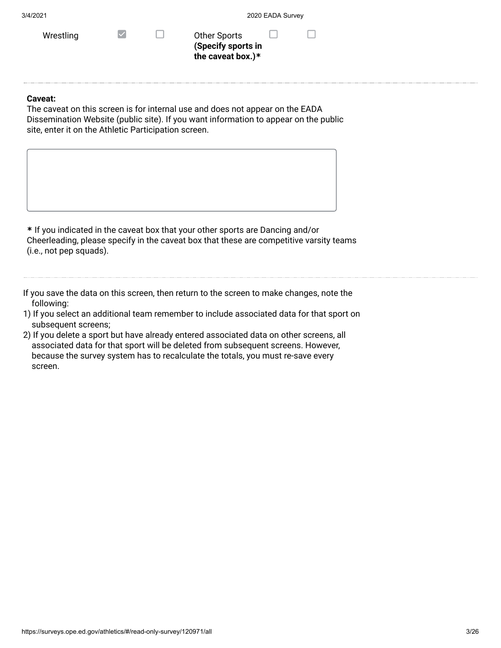| 3/4/2021 |
|----------|
|          |

| Wrestling |  |
|-----------|--|
|           |  |

 $\Box$  Other Sports **(Specify sports in the caveat box.)\***

#### **Caveat:**

The caveat on this screen is for internal use and does not appear on the EADA Dissemination Website (public site). If you want information to appear on the public site, enter it on the Athletic Participation screen.

**\*** If you indicated in the caveat box that your other sports are Dancing and/or Cheerleading, please specify in the caveat box that these are competitive varsity teams (i.e., not pep squads).

If you save the data on this screen, then return to the screen to make changes, note the following:

- 1) If you select an additional team remember to include associated data for that sport on subsequent screens;
- 2) If you delete a sport but have already entered associated data on other screens, all associated data for that sport will be deleted from subsequent screens. However, because the survey system has to recalculate the totals, you must re-save every screen.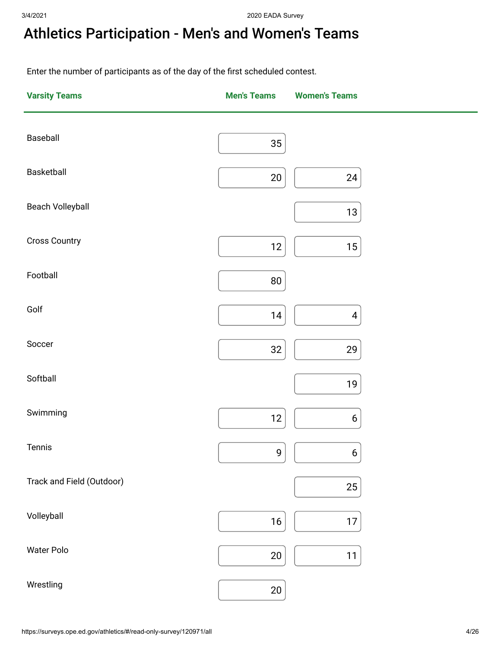# Athletics Participation - Men's and Women's Teams

Enter the number of participants as of the day of the first scheduled contest.

| <b>Varsity Teams</b>      | <b>Men's Teams</b> | <b>Women's Teams</b>    |
|---------------------------|--------------------|-------------------------|
| Baseball                  | 35                 |                         |
| Basketball                | $20\,$             | 24                      |
| Beach Volleyball          |                    | $13\,$                  |
| <b>Cross Country</b>      | $12$               | $15\,$                  |
| Football                  | $80\,$             |                         |
| Golf                      | 14                 | $\overline{\mathbf{4}}$ |
| Soccer                    | 32                 | 29                      |
| Softball                  |                    | $19$                    |
| Swimming                  | 12                 | $\boldsymbol{6}$        |
| Tennis                    | 9                  | $\boldsymbol{6}$        |
| Track and Field (Outdoor) |                    | 25                      |
| Volleyball                | $16\,$             | $17$                    |
| Water Polo                | $20\,$             | 11                      |
| Wrestling                 | $20\,$             |                         |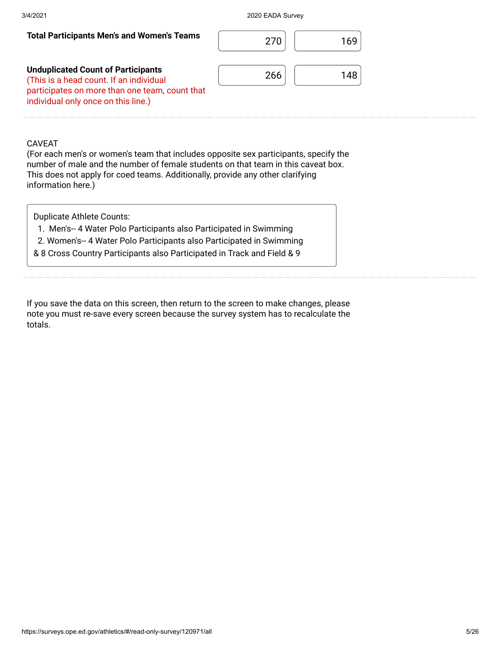| <b>Total Participants Men's and Women's Teams</b>                                                                                                                             | 270 | 169 |
|-------------------------------------------------------------------------------------------------------------------------------------------------------------------------------|-----|-----|
| <b>Unduplicated Count of Participants</b><br>(This is a head count. If an individual<br>participates on more than one team, count that<br>individual only once on this line.) | 266 | 148 |

#### CAVEAT

(For each men's or women's team that includes opposite sex participants, specify the number of male and the number of female students on that team in this caveat box. This does not apply for coed teams. Additionally, provide any other clarifying information here.)

Duplicate Athlete Counts:

- 1. Men's-- 4 Water Polo Participants also Participated in Swimming
- 2. Women's-- 4 Water Polo Participants also Participated in Swimming
- & 8 Cross Country Participants also Participated in Track and Field & 9

If you save the data on this screen, then return to the screen to make changes, please note you must re-save every screen because the survey system has to recalculate the totals.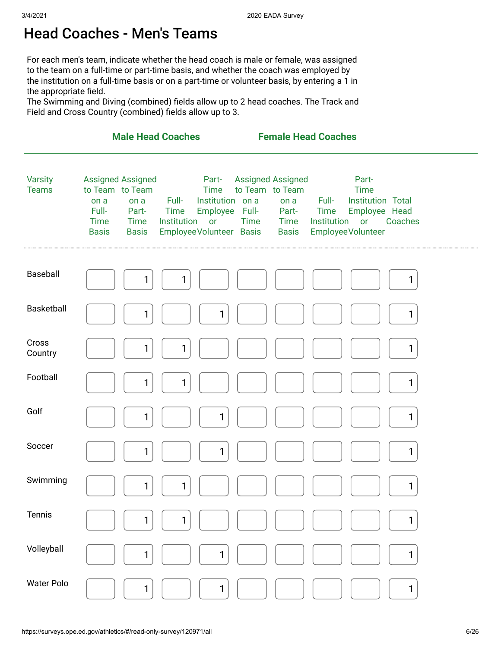### Head Coaches - Men's Teams

For each men's team, indicate whether the head coach is male or female, was assigned to the team on a full-time or part-time basis, and whether the coach was employed by the institution on a full-time basis or on a part-time or volunteer basis, by entering a 1 in the appropriate field.

The Swimming and Diving (combined) fields allow up to 2 head coaches. The Track and Field and Cross Country (combined) fields allow up to 3.

|                                |                                                                                                                                             | <b>Male Head Coaches</b>                                                                                                 | <b>Female Head Coaches</b>                                                                                 |                                                                                                                                          |  |
|--------------------------------|---------------------------------------------------------------------------------------------------------------------------------------------|--------------------------------------------------------------------------------------------------------------------------|------------------------------------------------------------------------------------------------------------|------------------------------------------------------------------------------------------------------------------------------------------|--|
| <b>Varsity</b><br><b>Teams</b> | <b>Assigned Assigned</b><br>to Team to Team<br>on a<br>on a<br>Full-<br>Part-<br><b>Time</b><br><b>Time</b><br><b>Basis</b><br><b>Basis</b> | Part-<br><b>Time</b><br>Full-<br>Institution on a<br>Employee Full-<br>Time<br>Institution or<br>EmployeeVolunteer Basis | <b>Assigned Assigned</b><br>to Team to Team<br>on a<br>Part-<br><b>Time</b><br><b>Time</b><br><b>Basis</b> | Part-<br><b>Time</b><br>Full-<br>Institution Total<br>Employee Head<br>Time<br>Coaches<br>Institution<br><b>or</b><br>Employee Volunteer |  |
| Baseball                       | 1                                                                                                                                           | $\mathbf{1}$                                                                                                             |                                                                                                            | 1                                                                                                                                        |  |
| Basketball                     | 1                                                                                                                                           | $\mathbf{1}$                                                                                                             |                                                                                                            | 1                                                                                                                                        |  |
| Cross<br>Country               | 1                                                                                                                                           | 1                                                                                                                        |                                                                                                            | 1                                                                                                                                        |  |
| Football                       | 1                                                                                                                                           | 1                                                                                                                        |                                                                                                            | $\mathbf{1}$                                                                                                                             |  |
| Golf                           | 1                                                                                                                                           | $\mathbf{1}$                                                                                                             |                                                                                                            | 1                                                                                                                                        |  |
| Soccer                         | 1                                                                                                                                           | $\mathbf{1}$                                                                                                             |                                                                                                            | $\mathbf{1}$                                                                                                                             |  |
| Swimming                       | $\mathbf{1}$                                                                                                                                | $\mathbf{1}$                                                                                                             |                                                                                                            | 1                                                                                                                                        |  |
| Tennis                         | $\mathbf{1}$                                                                                                                                | 1                                                                                                                        |                                                                                                            | 1                                                                                                                                        |  |
| Volleyball                     | 1                                                                                                                                           | $\mathbf{1}$                                                                                                             |                                                                                                            | 1                                                                                                                                        |  |
| <b>Water Polo</b>              | 1                                                                                                                                           | 1                                                                                                                        |                                                                                                            | 1                                                                                                                                        |  |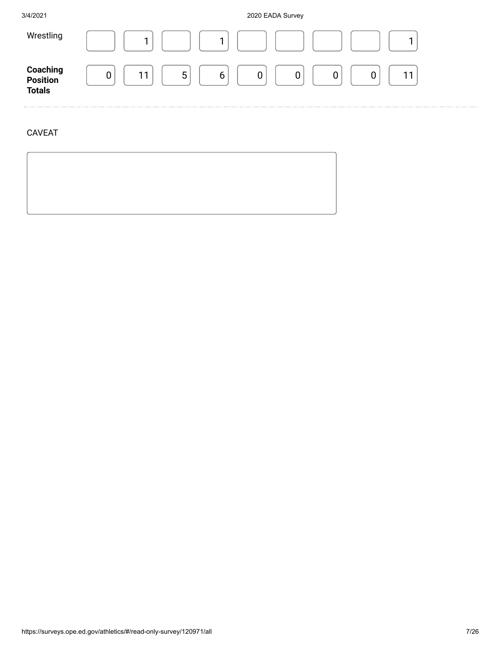3/4/2021 2020 EADA Survey



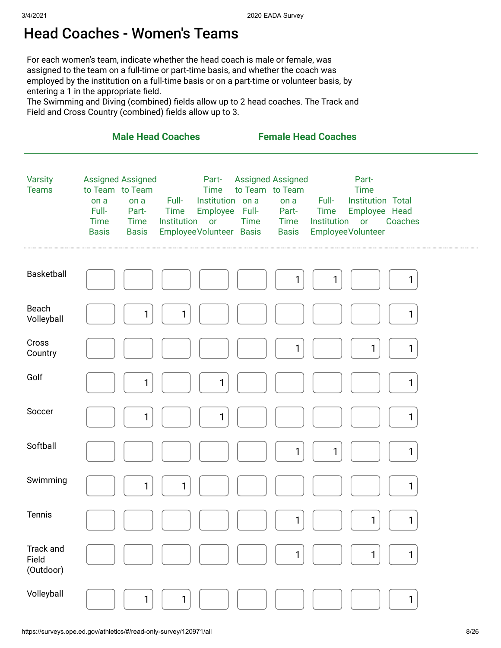#### Head Coaches - Women's Teams

For each women's team, indicate whether the head coach is male or female, was assigned to the team on a full-time or part-time basis, and whether the coach was employed by the institution on a full-time basis or on a part-time or volunteer basis, by entering a 1 in the appropriate field.

The Swimming and Diving (combined) fields allow up to 2 head coaches. The Track and Field and Cross Country (combined) fields allow up to 3.

|                                        |                                                                                                                                      | <b>Male Head Coaches</b>                                                                                                    | <b>Female Head Coaches</b>                                                                          |                                                                                                                                   |
|----------------------------------------|--------------------------------------------------------------------------------------------------------------------------------------|-----------------------------------------------------------------------------------------------------------------------------|-----------------------------------------------------------------------------------------------------|-----------------------------------------------------------------------------------------------------------------------------------|
| <b>Varsity</b><br><b>Teams</b>         | Assigned Assigned<br>to Team to Team<br>on a<br>on a<br>Full-<br>Part-<br><b>Time</b><br><b>Time</b><br><b>Basis</b><br><b>Basis</b> | Part-<br><b>Time</b><br>Full-<br>Institution on a<br>Employee Full-<br>Time<br>Institution<br>or<br>EmployeeVolunteer Basis | <b>Assigned Assigned</b><br>to Team to Team<br>on a<br>Part-<br><b>Time</b><br>Time<br><b>Basis</b> | Part-<br><b>Time</b><br>Institution Total<br>Full-<br>Time<br>Employee Head<br>Institution<br>Coaches<br>or<br>Employee Volunteer |
| Basketball                             |                                                                                                                                      |                                                                                                                             | 1                                                                                                   | 1<br>1                                                                                                                            |
| Beach<br>Volleyball                    | 1                                                                                                                                    | $\mathbf{1}$                                                                                                                |                                                                                                     | 1                                                                                                                                 |
| Cross<br>Country                       |                                                                                                                                      |                                                                                                                             | 1                                                                                                   | 1<br>$\mathbf{1}$                                                                                                                 |
| Golf                                   | 1                                                                                                                                    | $\mathbf{1}$                                                                                                                |                                                                                                     | 1                                                                                                                                 |
| Soccer                                 | 1                                                                                                                                    | $\mathbf{1}$                                                                                                                |                                                                                                     | 1                                                                                                                                 |
| Softball                               |                                                                                                                                      |                                                                                                                             | 1                                                                                                   | 1<br>$\mathbf{1}$                                                                                                                 |
| Swimming                               | 1                                                                                                                                    | 1                                                                                                                           |                                                                                                     | 1                                                                                                                                 |
| Tennis                                 |                                                                                                                                      |                                                                                                                             | 1                                                                                                   | 1<br>1                                                                                                                            |
| <b>Track and</b><br>Field<br>(Outdoor) |                                                                                                                                      |                                                                                                                             | 1                                                                                                   | 1<br>$\mathbf{1}$                                                                                                                 |
| Volleyball                             | 1                                                                                                                                    | $\mathbf{1}$                                                                                                                |                                                                                                     | 1                                                                                                                                 |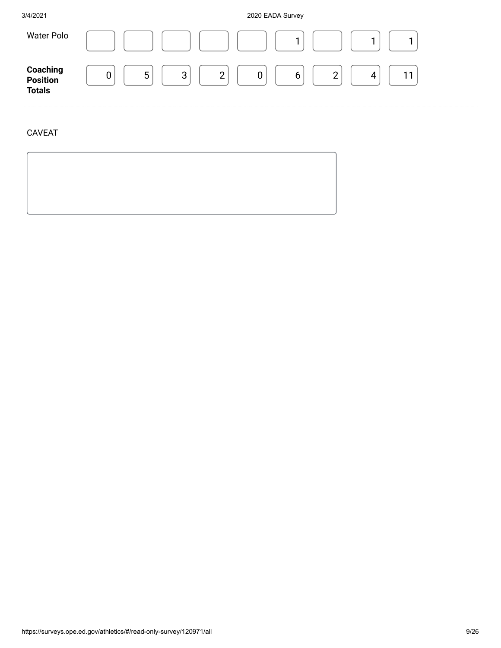3/4/2021 2020 EADA Survey



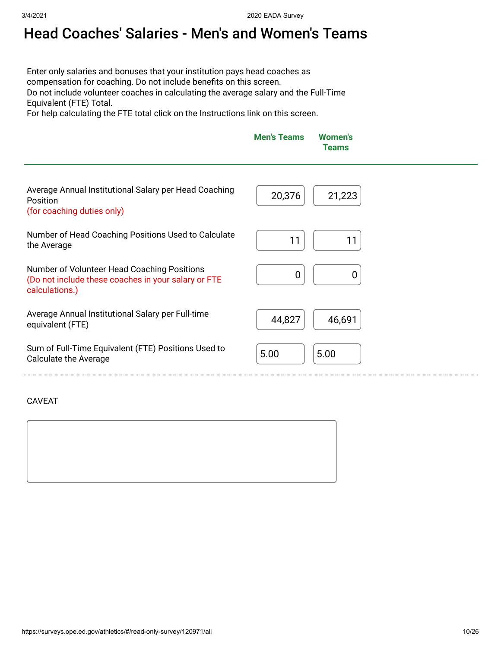# Head Coaches' Salaries - Men's and Women's Teams

Enter only salaries and bonuses that your institution pays head coaches as compensation for coaching. Do not include benefits on this screen. Do not include volunteer coaches in calculating the average salary and the Full-Time Equivalent (FTE) Total.

For help calculating the FTE total click on the Instructions link on this screen.

| <b>Men's Teams Women's</b> | <b>Teams</b> |
|----------------------------|--------------|
|                            |              |

| Average Annual Institutional Salary per Head Coaching<br>Position<br>(for coaching duties only)                      | 20,376<br>21,223 |
|----------------------------------------------------------------------------------------------------------------------|------------------|
| Number of Head Coaching Positions Used to Calculate<br>the Average                                                   | 11               |
| Number of Volunteer Head Coaching Positions<br>(Do not include these coaches in your salary or FTE<br>calculations.) |                  |
| Average Annual Institutional Salary per Full-time<br>equivalent (FTE)                                                | 46,691<br>44,827 |
| Sum of Full-Time Equivalent (FTE) Positions Used to<br>Calculate the Average                                         | 5.00<br>5.00     |

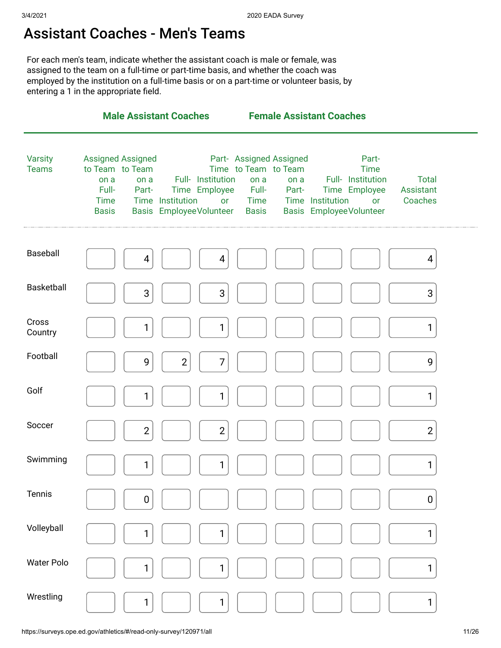#### Assistant Coaches - Men's Teams

For each men's team, indicate whether the assistant coach is male or female, was assigned to the team on a full-time or part-time basis, and whether the coach was employed by the institution on a full-time basis or on a part-time or volunteer basis, by entering a 1 in the appropriate field.

|                                |                                                                                             |                | <b>Male Assistant Coaches</b> |                                                                             |                                                                      |                                          | <b>Female Assistant Coaches</b> |                                                                                                    |                                      |  |
|--------------------------------|---------------------------------------------------------------------------------------------|----------------|-------------------------------|-----------------------------------------------------------------------------|----------------------------------------------------------------------|------------------------------------------|---------------------------------|----------------------------------------------------------------------------------------------------|--------------------------------------|--|
| <b>Varsity</b><br><b>Teams</b> | <b>Assigned Assigned</b><br>to Team to Team<br>on a<br>Full-<br><b>Time</b><br><b>Basis</b> | on a<br>Part-  | Time Institution              | Full- Institution<br>Time Employee<br><b>or</b><br>Basis Employee Volunteer | Time to Team to Team<br>on a<br>Full-<br><b>Time</b><br><b>Basis</b> | Part- Assigned Assigned<br>on a<br>Part- | Time Institution                | Part-<br><b>Time</b><br>Full- Institution<br>Time Employee<br>or<br><b>Basis EmployeeVolunteer</b> | <b>Total</b><br>Assistant<br>Coaches |  |
| Baseball                       |                                                                                             | 4              |                               | $\overline{4}$                                                              |                                                                      |                                          |                                 |                                                                                                    | 4                                    |  |
| Basketball                     |                                                                                             | $\sqrt{3}$     |                               | $\mathbf{3}$                                                                |                                                                      |                                          |                                 |                                                                                                    | 3                                    |  |
| Cross<br>Country               |                                                                                             | 1              |                               | 1                                                                           |                                                                      |                                          |                                 |                                                                                                    | 1                                    |  |
| Football                       |                                                                                             | 9              | $\mathbf{2}$                  | 7                                                                           |                                                                      |                                          |                                 |                                                                                                    | 9                                    |  |
| Golf                           |                                                                                             | 1              |                               | 1                                                                           |                                                                      |                                          |                                 |                                                                                                    | 1                                    |  |
| Soccer                         |                                                                                             | $\overline{2}$ |                               | $\overline{2}$                                                              |                                                                      |                                          |                                 |                                                                                                    | $\overline{2}$                       |  |
| Swimming                       |                                                                                             | 1              |                               | 1                                                                           |                                                                      |                                          |                                 |                                                                                                    | 1                                    |  |
| Tennis                         |                                                                                             | $\pmb{0}$      |                               |                                                                             |                                                                      |                                          |                                 |                                                                                                    | 0                                    |  |
| Volleyball                     |                                                                                             | 1              |                               | 1                                                                           |                                                                      |                                          |                                 |                                                                                                    | $\mathbf{1}$                         |  |
| <b>Water Polo</b>              |                                                                                             | 1              |                               | 1                                                                           |                                                                      |                                          |                                 |                                                                                                    | 1                                    |  |
| Wrestling                      |                                                                                             | 1              |                               | 1                                                                           |                                                                      |                                          |                                 |                                                                                                    | 1                                    |  |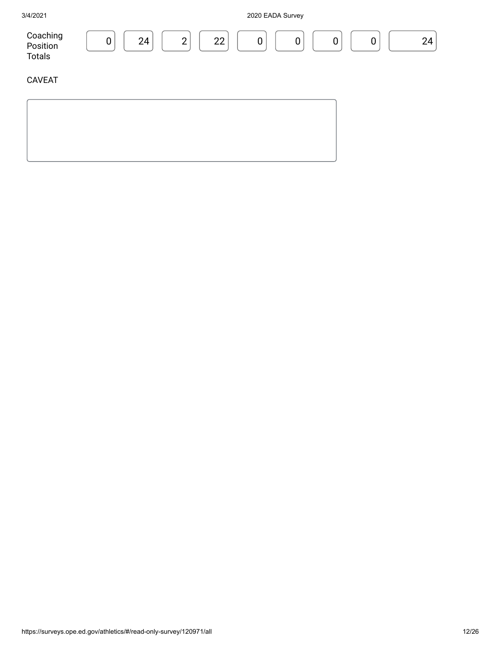| 3/4/2021                              | 2020 EADA Survey                                                                  |    |  |  |  |  |
|---------------------------------------|-----------------------------------------------------------------------------------|----|--|--|--|--|
| Coaching<br>Position<br><b>Totals</b> | 24<br>22<br>$\overline{2}$<br>$\boldsymbol{0}$<br>$\boldsymbol{0}$<br>0<br>0<br>0 | 24 |  |  |  |  |
| <b>CAVEAT</b>                         |                                                                                   |    |  |  |  |  |
|                                       |                                                                                   |    |  |  |  |  |
|                                       |                                                                                   |    |  |  |  |  |
|                                       |                                                                                   |    |  |  |  |  |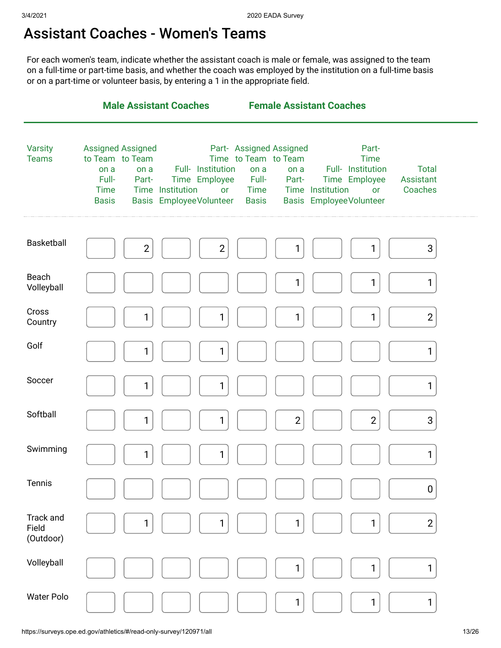#### Assistant Coaches - Women's Teams

For each women's team, indicate whether the assistant coach is male or female, was assigned to the team on a full-time or part-time basis, and whether the coach was employed by the institution on a full-time basis or on a part-time or volunteer basis, by entering a 1 in the appropriate field.

|                                 | <b>Male Assistant Coaches</b>                                                                                                                                                                                  | <b>Female Assistant Coaches</b>                                                                                                                                                                                                                                                           |  |
|---------------------------------|----------------------------------------------------------------------------------------------------------------------------------------------------------------------------------------------------------------|-------------------------------------------------------------------------------------------------------------------------------------------------------------------------------------------------------------------------------------------------------------------------------------------|--|
| <b>Varsity</b><br><b>Teams</b>  | <b>Assigned Assigned</b><br>to Team to Team<br>Full- Institution<br>on a<br>on a<br>Full-<br>Time Employee<br>Part-<br>Time Institution<br><b>Time</b><br>or<br><b>Basis EmployeeVolunteer</b><br><b>Basis</b> | Part- Assigned Assigned<br>Part-<br>Time to Team to Team<br><b>Time</b><br>Full- Institution<br><b>Total</b><br>on a<br>on a<br>Full-<br>Time Employee<br><b>Assistant</b><br>Part-<br><b>Time</b><br>Time Institution<br>Coaches<br>or<br><b>Basis EmployeeVolunteer</b><br><b>Basis</b> |  |
| <b>Basketball</b>               | $\overline{2}$<br>$\overline{2}$                                                                                                                                                                               | 3<br>1<br>1                                                                                                                                                                                                                                                                               |  |
| Beach<br>Volleyball             |                                                                                                                                                                                                                | 1<br>1<br>1                                                                                                                                                                                                                                                                               |  |
| Cross<br>Country                | 1<br>1                                                                                                                                                                                                         | $\overline{2}$<br>1<br>1                                                                                                                                                                                                                                                                  |  |
| Golf                            | 1<br>1                                                                                                                                                                                                         | 1                                                                                                                                                                                                                                                                                         |  |
| Soccer                          | 1<br>1                                                                                                                                                                                                         | 1                                                                                                                                                                                                                                                                                         |  |
| Softball                        | 1<br>1                                                                                                                                                                                                         | $\mathbf{2}$<br>$\overline{2}$<br>3                                                                                                                                                                                                                                                       |  |
| Swimming                        | 1<br>1                                                                                                                                                                                                         | 1                                                                                                                                                                                                                                                                                         |  |
| Tennis                          |                                                                                                                                                                                                                | 0                                                                                                                                                                                                                                                                                         |  |
| Track and<br>Field<br>(Outdoor) | 1<br>1                                                                                                                                                                                                         | 1<br>$\overline{2}$<br>1                                                                                                                                                                                                                                                                  |  |
| Volleyball                      |                                                                                                                                                                                                                | 1<br>1<br>1                                                                                                                                                                                                                                                                               |  |
| <b>Water Polo</b>               |                                                                                                                                                                                                                | 1<br>1<br>1                                                                                                                                                                                                                                                                               |  |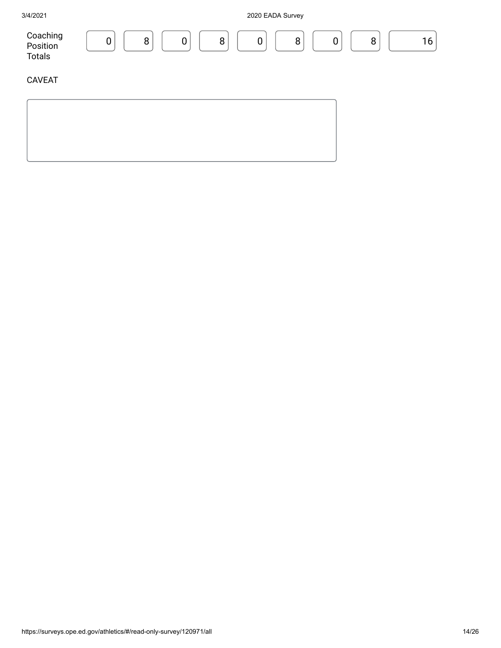| 3/4/2021                       | 2020 EADA Survey                                                                   |
|--------------------------------|------------------------------------------------------------------------------------|
| Coaching<br>Position<br>Totals | 16<br>8<br>8<br>$\mathbf 0$<br>8<br>8<br>$\mathbf 0$<br>$\mathbf 0$<br>$\mathbf 0$ |
| <b>CAVEAT</b>                  |                                                                                    |
|                                |                                                                                    |
|                                |                                                                                    |
|                                |                                                                                    |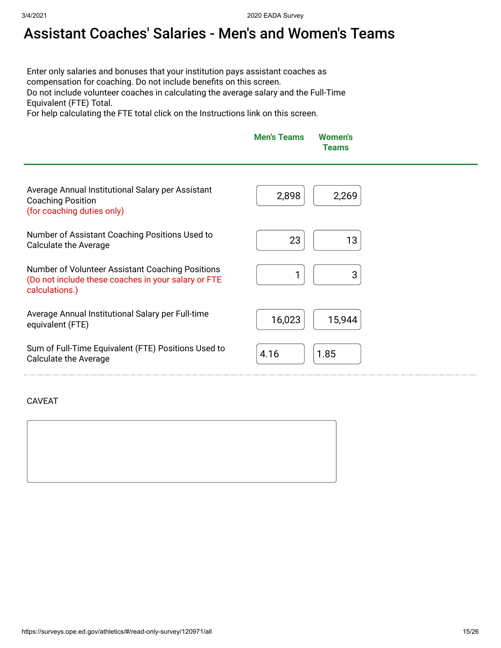# Assistant Coaches' Salaries - Men's and Women's Teams

Enter only salaries and bonuses that your institution pays assistant coaches as compensation for coaching. Do not include benefits on this screen. Do not include volunteer coaches in calculating the average salary and the Full-Time Equivalent (FTE) Total.

For help calculating the FTE total click on the Instructions link on this screen.

| <b>Men's Teams</b> | <b>Women's</b><br><b>Teams</b> |
|--------------------|--------------------------------|
|                    |                                |

| Average Annual Institutional Salary per Assistant<br><b>Coaching Position</b><br>(for coaching duties only)               | 2,898<br>2,269 |
|---------------------------------------------------------------------------------------------------------------------------|----------------|
| Number of Assistant Coaching Positions Used to                                                                            | 23             |
| Calculate the Average                                                                                                     | 13             |
| Number of Volunteer Assistant Coaching Positions<br>(Do not include these coaches in your salary or FTE<br>calculations.) | 3              |
| Average Annual Institutional Salary per Full-time                                                                         | 16,023         |
| equivalent (FTE)                                                                                                          | 15,944         |
| Sum of Full-Time Equivalent (FTE) Positions Used to                                                                       | 4.16           |
| <b>Calculate the Average</b>                                                                                              | 1.85           |

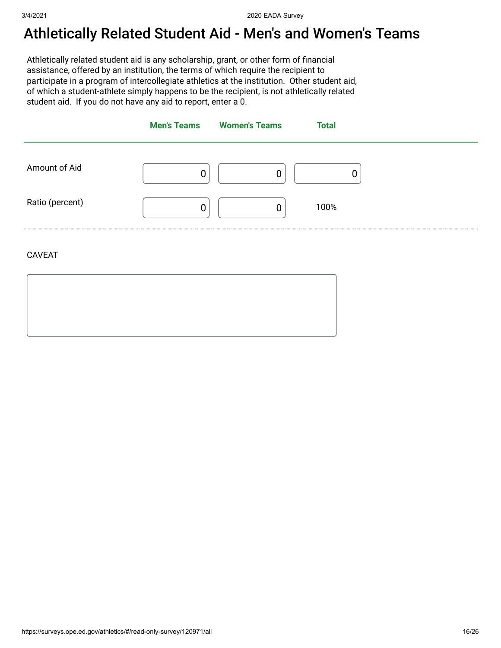### Athletically Related Student Aid - Men's and Women's Teams

Athletically related student aid is any scholarship, grant, or other form of financial assistance, offered by an institution, the terms of which require the recipient to participate in a program of intercollegiate athletics at the institution. Other student aid, of which a student-athlete simply happens to be the recipient, is not athletically related student aid. If you do not have any aid to report, enter a 0.

|                 | <b>Men's Teams</b> | <b>Women's Teams</b> | <b>Total</b> |
|-----------------|--------------------|----------------------|--------------|
| Amount of Aid   | 0                  |                      |              |
| Ratio (percent) | 0                  | 0                    | 100%         |

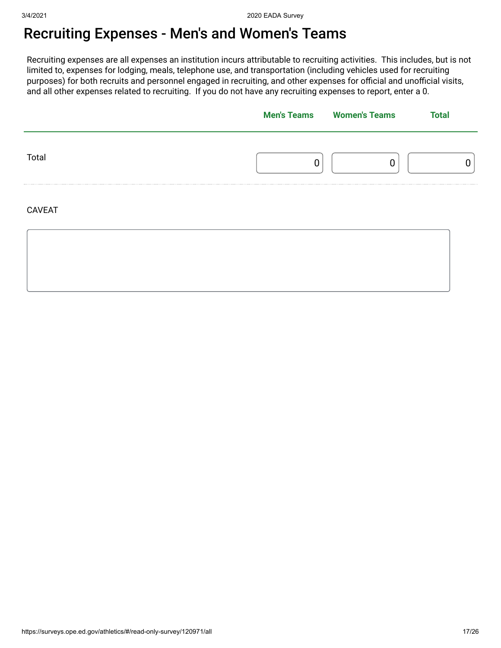# Recruiting Expenses - Men's and Women's Teams

Recruiting expenses are all expenses an institution incurs attributable to recruiting activities. This includes, but is not limited to, expenses for lodging, meals, telephone use, and transportation (including vehicles used for recruiting purposes) for both recruits and personnel engaged in recruiting, and other expenses for official and unofficial visits, and all other expenses related to recruiting. If you do not have any recruiting expenses to report, enter a 0.

|               | <b>Men's Teams</b> Women's Teams | <b>Total</b> |
|---------------|----------------------------------|--------------|
| Total         |                                  |              |
| <b>CAVEAT</b> |                                  |              |
|               |                                  |              |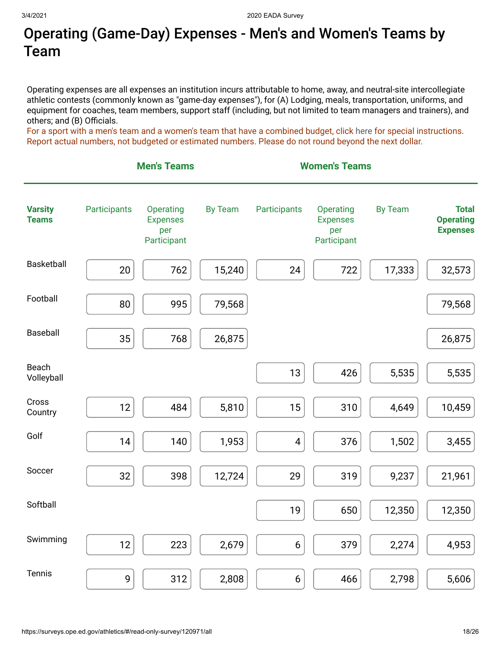## Operating (Game-Day) Expenses - Men's and Women's Teams by Team

Operating expenses are all expenses an institution incurs attributable to home, away, and neutral-site intercollegiate athletic contests (commonly known as "game-day expenses"), for (A) Lodging, meals, transportation, uniforms, and equipment for coaches, team members, support staff (including, but not limited to team managers and trainers), and others; and (B) Officials.

For a sport with a men's team and a women's team that have a combined budget, click [here](https://surveys.ope.ed.gov/athletics2k20/wwwroot/documents/inst_1.pdf) for special instructions. Report actual numbers, not budgeted or estimated numbers. Please do not round beyond the next dollar.

|                                | <b>Men's Teams</b> |                                                    |                | <b>Women's Teams</b>    |                                                    |                |                                                     |
|--------------------------------|--------------------|----------------------------------------------------|----------------|-------------------------|----------------------------------------------------|----------------|-----------------------------------------------------|
| <b>Varsity</b><br><b>Teams</b> | Participants       | Operating<br><b>Expenses</b><br>per<br>Participant | <b>By Team</b> | Participants            | Operating<br><b>Expenses</b><br>per<br>Participant | <b>By Team</b> | <b>Total</b><br><b>Operating</b><br><b>Expenses</b> |
| Basketball                     | 20                 | 762                                                | 15,240         | 24                      | 722                                                | 17,333         | 32,573                                              |
| Football                       | 80                 | 995                                                | 79,568         |                         |                                                    |                | 79,568                                              |
| Baseball                       | 35                 | 768                                                | 26,875         |                         |                                                    |                | 26,875                                              |
| Beach<br>Volleyball            |                    |                                                    |                | 13                      | 426                                                | 5,535          | 5,535                                               |
| Cross<br>Country               | 12                 | 484                                                | 5,810          | 15                      | 310                                                | 4,649          | 10,459                                              |
| Golf                           | 14                 | 140                                                | 1,953          | $\overline{\mathbf{4}}$ | 376                                                | 1,502          | 3,455                                               |
| Soccer                         | 32                 | 398                                                | 12,724         | 29                      | 319                                                | 9,237          | 21,961                                              |
| Softball                       |                    |                                                    |                | 19                      | 650                                                | 12,350         | 12,350                                              |
| Swimming                       | 12                 | 223                                                | 2,679          | $6\,$                   | 379                                                | 2,274          | 4,953                                               |
| Tennis                         | 9                  | 312                                                | 2,808          | $6\,$                   | 466                                                | 2,798          | 5,606                                               |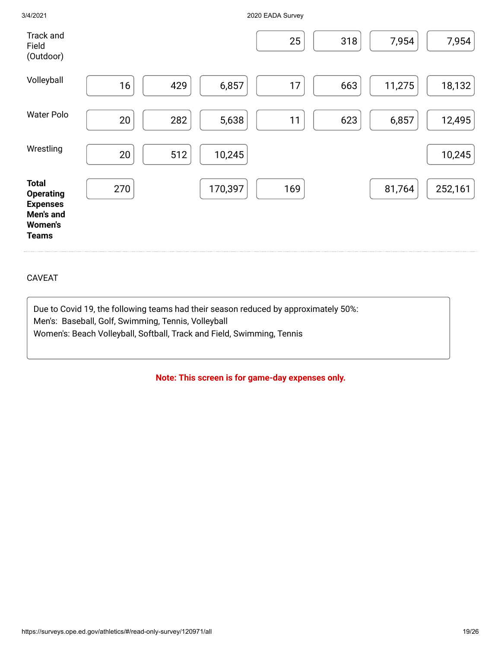| Track and<br>Field<br>(Outdoor)                                                                    |     |     |         | 25  | 318 | 7,954  | 7,954   |
|----------------------------------------------------------------------------------------------------|-----|-----|---------|-----|-----|--------|---------|
| Volleyball                                                                                         | 16  | 429 | 6,857   | 17  | 663 | 11,275 | 18,132  |
| <b>Water Polo</b>                                                                                  | 20  | 282 | 5,638   | 11  | 623 | 6,857  | 12,495  |
| Wrestling                                                                                          | 20  | 512 | 10,245  |     |     |        | 10,245  |
| <b>Total</b><br><b>Operating</b><br><b>Expenses</b><br>Men's and<br><b>Women's</b><br><b>Teams</b> | 270 |     | 170,397 | 169 |     | 81,764 | 252,161 |

#### CAVEAT

Due to Covid 19, the following teams had their season reduced by approximately 50%: Men's: Baseball, Golf, Swimming, Tennis, Volleyball Women's: Beach Volleyball, Softball, Track and Field, Swimming, Tennis

3/4/2021 2020 EADA Survey

**Note: This screen is for game-day expenses only.**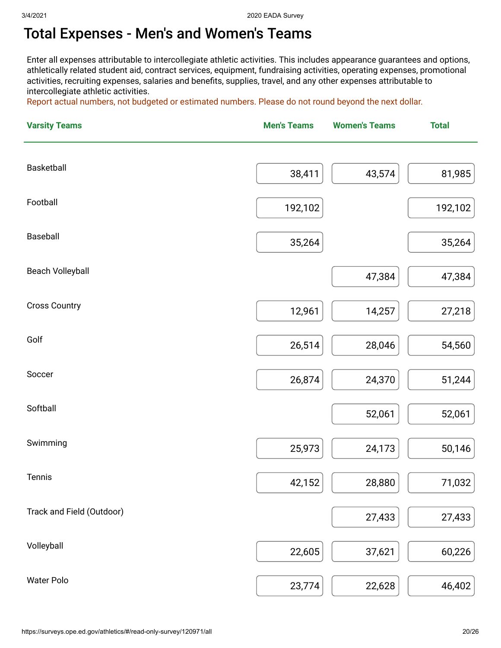## Total Expenses - Men's and Women's Teams

Enter all expenses attributable to intercollegiate athletic activities. This includes appearance guarantees and options, athletically related student aid, contract services, equipment, fundraising activities, operating expenses, promotional activities, recruiting expenses, salaries and benefits, supplies, travel, and any other expenses attributable to intercollegiate athletic activities.

Report actual numbers, not budgeted or estimated numbers. Please do not round beyond the next dollar.

| <b>Varsity Teams</b>      | <b>Men's Teams</b> | <b>Women's Teams</b> | <b>Total</b> |
|---------------------------|--------------------|----------------------|--------------|
| Basketball                |                    |                      |              |
|                           | 38,411             | 43,574               | 81,985       |
| Football                  | 192,102            |                      | 192,102      |
| Baseball                  | 35,264             |                      | 35,264       |
| <b>Beach Volleyball</b>   |                    | 47,384               | 47,384       |
| <b>Cross Country</b>      | 12,961             | 14,257               | 27,218       |
| Golf                      | 26,514             | 28,046               | 54,560       |
| Soccer                    | 26,874             | 24,370               | 51,244       |
| Softball                  |                    | 52,061               | 52,061       |
| Swimming                  | 25,973             | 24,173               | 50,146       |
| Tennis                    | 42,152             | 28,880               | 71,032       |
| Track and Field (Outdoor) |                    | 27,433               | 27,433       |
| Volleyball                | 22,605             | 37,621               | 60,226       |
| <b>Water Polo</b>         | 23,774             | 22,628               | 46,402       |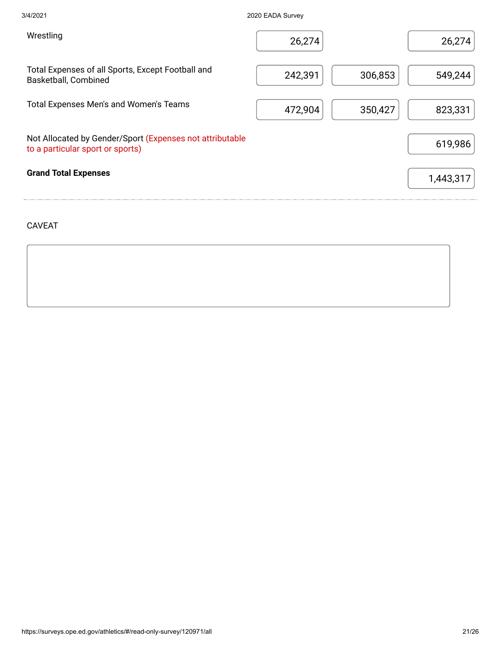| 3/4/2021                                                                                     | 2020 EADA Survey |         |           |
|----------------------------------------------------------------------------------------------|------------------|---------|-----------|
| Wrestling                                                                                    | 26,274           |         | 26,274    |
| Total Expenses of all Sports, Except Football and<br>Basketball, Combined                    | 242,391          | 306,853 | 549,244   |
| Total Expenses Men's and Women's Teams                                                       | 472,904          | 350,427 | 823,331   |
| Not Allocated by Gender/Sport (Expenses not attributable<br>to a particular sport or sports) |                  |         | 619,986   |
| <b>Grand Total Expenses</b>                                                                  |                  |         | 1,443,317 |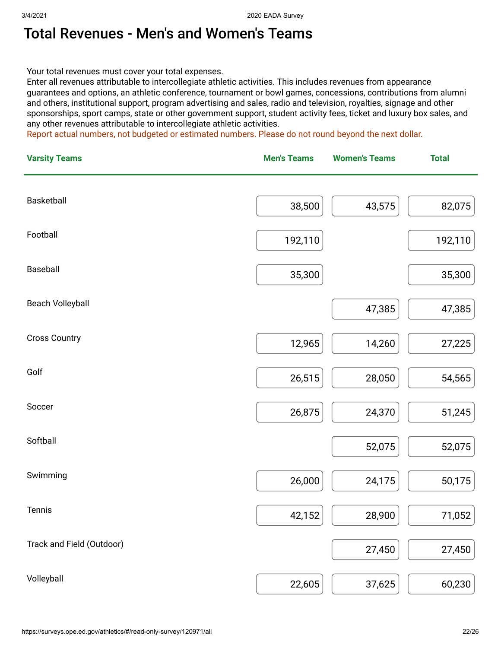#### Total Revenues - Men's and Women's Teams

Your total revenues must cover your total expenses.

Enter all revenues attributable to intercollegiate athletic activities. This includes revenues from appearance guarantees and options, an athletic conference, tournament or bowl games, concessions, contributions from alumni and others, institutional support, program advertising and sales, radio and television, royalties, signage and other sponsorships, sport camps, state or other government support, student activity fees, ticket and luxury box sales, and any other revenues attributable to intercollegiate athletic activities.

Report actual numbers, not budgeted or estimated numbers. Please do not round beyond the next dollar.

| <b>Varsity Teams</b>      | <b>Men's Teams</b> | <b>Women's Teams</b> | <b>Total</b> |
|---------------------------|--------------------|----------------------|--------------|
| Basketball                |                    |                      |              |
|                           | 38,500             | 43,575               | 82,075       |
| Football                  | 192,110            |                      | 192,110      |
| Baseball                  | 35,300             |                      | 35,300       |
| <b>Beach Volleyball</b>   |                    | 47,385               | 47,385       |
| <b>Cross Country</b>      | 12,965             | 14,260               | 27,225       |
| Golf                      | 26,515             | 28,050               | 54,565       |
| Soccer                    | 26,875             | 24,370               | 51,245       |
| Softball                  |                    | 52,075               | 52,075       |
| Swimming                  | 26,000             | 24,175               | 50,175       |
| Tennis                    | 42,152             | 28,900               | 71,052       |
| Track and Field (Outdoor) |                    | 27,450               | 27,450       |
| Volleyball                | 22,605             | 37,625               | 60,230       |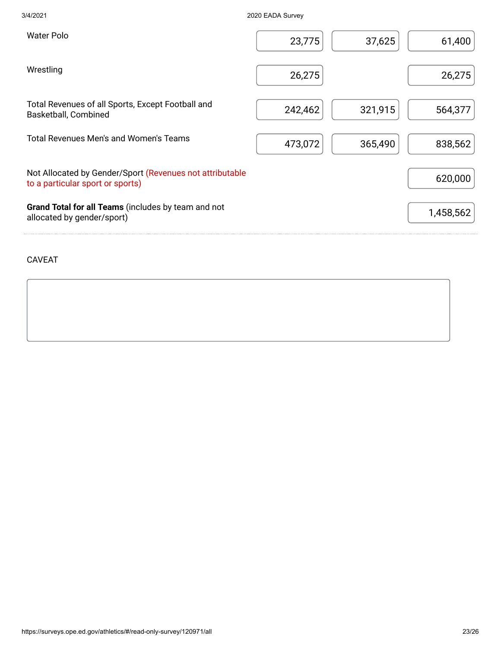| 3/4/2021                                                                                     | 2020 EADA Survey |         |           |
|----------------------------------------------------------------------------------------------|------------------|---------|-----------|
| <b>Water Polo</b>                                                                            | 23,775           | 37,625  | 61,400    |
| Wrestling                                                                                    | 26,275           |         | 26,275    |
| Total Revenues of all Sports, Except Football and<br>Basketball, Combined                    | 242,462          | 321,915 | 564,377   |
| Total Revenues Men's and Women's Teams                                                       | 473,072          | 365,490 | 838,562   |
| Not Allocated by Gender/Sport (Revenues not attributable<br>to a particular sport or sports) |                  |         | 620,000   |
| Grand Total for all Teams (includes by team and not<br>allocated by gender/sport)            |                  |         | 1,458,562 |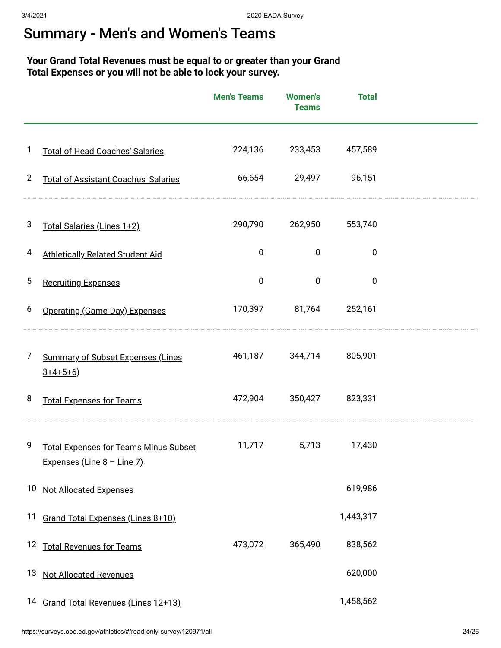### Summary - Men's and Women's Teams

#### **Your Grand Total Revenues must be equal to or greater than your Grand Total Expenses or you will not be able to lock your survey.**

|                |                                                                            | <b>Men's Teams</b> | <b>Women's</b><br><b>Teams</b> | <b>Total</b> |  |
|----------------|----------------------------------------------------------------------------|--------------------|--------------------------------|--------------|--|
| 1              | <b>Total of Head Coaches' Salaries</b>                                     | 224,136            | 233,453                        | 457,589      |  |
| $\overline{2}$ | <b>Total of Assistant Coaches' Salaries</b>                                | 66,654             | 29,497                         | 96,151       |  |
| 3              | Total Salaries (Lines 1+2)                                                 | 290,790            | 262,950                        | 553,740      |  |
| 4              | <b>Athletically Related Student Aid</b>                                    | $\pmb{0}$          | $\mathbf 0$                    | $\mathbf 0$  |  |
| 5              | <b>Recruiting Expenses</b>                                                 | $\pmb{0}$          | $\mathbf 0$                    | $\mathbf 0$  |  |
| 6              | Operating (Game-Day) Expenses                                              | 170,397            | 81,764                         | 252,161      |  |
| 7              | <b>Summary of Subset Expenses (Lines</b><br>$3+4+5+6$                      | 461,187            | 344,714                        | 805,901      |  |
| 8              | <b>Total Expenses for Teams</b>                                            | 472,904            | 350,427                        | 823,331      |  |
| 9              | <b>Total Expenses for Teams Minus Subset</b><br>Expenses (Line 8 - Line 7) | 11,717             | 5,713                          | 17,430       |  |
|                | 10 Not Allocated Expenses                                                  |                    |                                | 619,986      |  |
|                | 11 Grand Total Expenses (Lines 8+10)                                       |                    |                                | 1,443,317    |  |
|                | 12 Total Revenues for Teams                                                | 473,072            | 365,490                        | 838,562      |  |
|                | 13 Not Allocated Revenues                                                  |                    |                                | 620,000      |  |
|                | 14 Grand Total Revenues (Lines 12+13)                                      |                    |                                | 1,458,562    |  |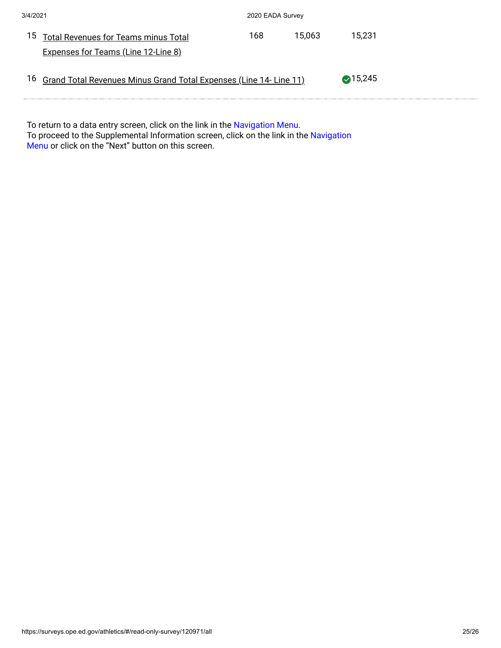| 3/4/2021 |                                                                           | 2020 EADA Survey |        |                   |
|----------|---------------------------------------------------------------------------|------------------|--------|-------------------|
| 15       | Total Revenues for Teams minus Total                                      | 168.             | 15.063 | 15.231            |
|          | <b>Expenses for Teams (Line 12-Line 8)</b>                                |                  |        |                   |
| 16       | <b>Grand Total Revenues Minus Grand Total Expenses (Line 14- Line 11)</b> |                  |        | $\bigcirc$ 15,245 |

To return to a data entry screen, click on the link in the <mark>Navigation Menu.</mark> To proceed to the Supplemental Information screen, click on the link in the Navigation Menu or click on the "Next" button on this screen.